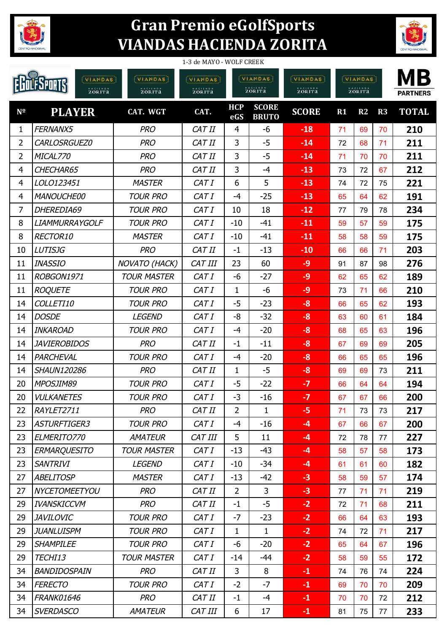

## **Gran Premio eGolfSports VIANDAS HACIENDA ZORITA**



| 1-3 de MAYO - WOLF CREEK |                                            |                    |                    |                          |                              |                          |                          |    |    |                       |
|--------------------------|--------------------------------------------|--------------------|--------------------|--------------------------|------------------------------|--------------------------|--------------------------|----|----|-----------------------|
|                          | <b>VIANDAS</b><br><b>FSPORTS</b><br>zorita | VIANDAS<br>zorira  | VIANDAST<br>zorita | <b>VIANDAS</b><br>zorita |                              | <b>VIANDAS</b><br>zorita | <b>VIANDAS</b><br>zorita |    |    | MВ<br><b>PARTNERS</b> |
| $N^{\Omega}$             | <b>PLAYER</b>                              | CAT. WGT           | CAT.               | <b>HCP</b><br>eGS        | <b>SCORE</b><br><b>BRUTO</b> | <b>SCORE</b>             | R1                       | R2 | R3 | <b>TOTAL</b>          |
| $\mathbf{1}$             | FERNANX5                                   | <b>PRO</b>         | CAT II             | 4                        | -6                           | $-18$                    | 71                       | 69 | 70 | 210                   |
| $\overline{2}$           | CARLOSRGUEZ0                               | <b>PRO</b>         | CAT II             | 3                        | $-5$                         | $-14$                    | 72                       | 68 | 71 | 211                   |
| $\overline{2}$           | MICAL770                                   | <b>PRO</b>         | CAT II             | 3                        | $-5$                         | $-14$                    | 71                       | 70 | 70 | 211                   |
| 4                        | CHECHAR65                                  | <b>PRO</b>         | CAT II             | 3                        | $-4$                         | $-13$                    | 73                       | 72 | 67 | 212                   |
| 4                        | LOLO123451                                 | <b>MASTER</b>      | CAT I              | 6                        | 5                            | $-13$                    | 74                       | 72 | 75 | 221                   |
| 4                        | <b>MANOUCHE00</b>                          | <b>TOUR PRO</b>    | CAT I              | -4                       | $-25$                        | $-13$                    | 65                       | 64 | 62 | 191                   |
| $\overline{7}$           | DHEREDIA69                                 | <b>TOUR PRO</b>    | CAT I              | 10                       | 18                           | $-12$                    | 77                       | 79 | 78 | 234                   |
| 8                        | <b>LIAMMURRAYGOLF</b>                      | <b>TOUR PRO</b>    | CAT I              | $-10$                    | $-41$                        | $-11$                    | 59                       | 57 | 59 | 175                   |
| 8                        | RECTOR10                                   | <b>MASTER</b>      | CAT I              | $-10$                    | $-41$                        | $-11$                    | 58                       | 58 | 59 | 175                   |
| 10                       | <b>LUTISJG</b>                             | <b>PRO</b>         | CAT II             | $-1$                     | $-13$                        | $-10$                    | 66                       | 66 | 71 | 203                   |
| 11                       | <b>INASSIO</b>                             | NOVATO (HACK)      | <b>CAT III</b>     | 23                       | 60                           | $-9$                     | 91                       | 87 | 98 | 276                   |
| 11                       | ROBGON1971                                 | <b>TOUR MASTER</b> | CAT I              | -6                       | $-27$                        | $-9$                     | 62                       | 65 | 62 | 189                   |
| 11                       | <b>ROQUETE</b>                             | <b>TOUR PRO</b>    | CAT I              | 1                        | -6                           | $-9$                     | 73                       | 71 | 66 | 210                   |
| 14                       | COLLETI10                                  | <b>TOUR PRO</b>    | CAT I              | $-5$                     | $-23$                        | $-8$                     | 66                       | 65 | 62 | 193                   |
| 14                       | <b>DOSDE</b>                               | <b>LEGEND</b>      | CAT I              | -8                       | $-32$                        | $-8$                     | 63                       | 60 | 61 | 184                   |
| 14                       | <b>INKAROAD</b>                            | <b>TOUR PRO</b>    | CAT I              | $-4$                     | $-20$                        | $-8$                     | 68                       | 65 | 63 | 196                   |
| 14                       | <b>JAVIEROBIDOS</b>                        | <b>PRO</b>         | CAT II             | $-1$                     | $-11$                        | $-8$                     | 67                       | 69 | 69 | 205                   |
| 14                       | PARCHEVAL                                  | <b>TOUR PRO</b>    | CAT I              | $-4$                     | $-20$                        | -8                       | 66                       | 65 | 65 | 196                   |
| 14                       | <b>SHAUN120286</b>                         | <b>PRO</b>         | CAT II             | $\mathbf{1}$             | $-5$                         | $-8$                     | 69                       | 69 | 73 | 211                   |
| 20                       | MPOSJIM89                                  | <b>TOUR PRO</b>    | CAT I              | $-5$                     | $-22$                        | $-7$                     | 66                       | 64 | 64 | 194                   |
| 20                       | <b>VULKANETES</b>                          | <b>TOUR PRO</b>    | CAT I              | $-3$                     | $-16$                        | $\boldsymbol{\phi}$      | 67                       | 67 | 66 | 200                   |
| 22                       | RAYLET2711                                 | <b>PRO</b>         | CAT II             | $\overline{2}$           | $\mathbf{1}$                 | $-5$                     | 71                       | 73 | 73 | 217                   |
| 23                       | ASTURFTIGER3                               | <b>TOUR PRO</b>    | CAT I              | $-4$                     | $-16$                        | $-4$                     | 67                       | 66 | 67 | 200                   |
| 23                       | ELMERITO770                                | <b>AMATEUR</b>     | CAT III            | 5                        | 11                           | $-4$                     | 72                       | 78 | 77 | 227                   |
| 23                       | <b>ERMARQUESITO</b>                        | <b>TOUR MASTER</b> | CAT I              | $-13$                    | $-43$                        | $-4$                     | 58                       | 57 | 58 | 173                   |
| 23                       | <b>SANTRIVI</b>                            | <b>LEGEND</b>      | CAT I              | $-10$                    | $-34$                        | $-4$                     | 61                       | 61 | 60 | 182                   |
| 27                       | <b>ABELITOSP</b>                           | <b>MASTER</b>      | CAT I              | $-13$                    | $-42$                        | $-3$                     | 58                       | 59 | 57 | 174                   |
| 27                       | NYCETOMEETYOU                              | <b>PRO</b>         | CAT II             | $\overline{2}$           | 3                            | $-3$                     | 77                       | 71 | 71 | 219                   |
| 29                       | <b>IVANSKICCVM</b>                         | <b>PRO</b>         | CAT II             | $-1$                     | $-5$                         | $-2$                     | 72                       | 71 | 68 | 211                   |
| 29                       | <b>JAVILOVIC</b>                           | <b>TOUR PRO</b>    | CAT I              | $-7$                     | $-23$                        | $-2$                     | 66                       | 64 | 63 | 193                   |
| 29                       | <b>JUANLUISPM</b>                          | <b>TOUR PRO</b>    | CAT I              | $\mathbf{1}$             | $\mathbf{1}$                 | $-2$                     | 74                       | 72 | 71 | 217                   |
| 29                       | <b>SHAMPILEE</b>                           | <b>TOUR PRO</b>    | CAT I              | -6                       | $-20$                        | $-2$                     | 65                       | 64 | 67 | 196                   |
| 29                       | TECHI13                                    | <b>TOUR MASTER</b> | CAT I              | $-14$                    | -44                          | $-2$                     | 58                       | 59 | 55 | 172                   |
| 34                       | BANDIDOSPAIN                               | <b>PRO</b>         | CAT II             | 3                        | 8                            | $-1$                     | 74                       | 76 | 74 | 224                   |
| 34                       | <b>FERECTO</b>                             | <b>TOUR PRO</b>    | CAT I              | $-2$                     | $-7$                         | $-1$                     | 69                       | 70 | 70 | 209                   |
| 34                       | FRANK01646                                 | <b>PRO</b>         | CAT II             | $-1$                     | $-4$                         | $-1$                     | 70                       | 70 | 72 | 212                   |
| 34                       | <b>SVERDASCO</b>                           | <b>AMATEUR</b>     | CAT III            | 6                        | 17                           | $-1$                     | 81                       | 75 | 77 | 233                   |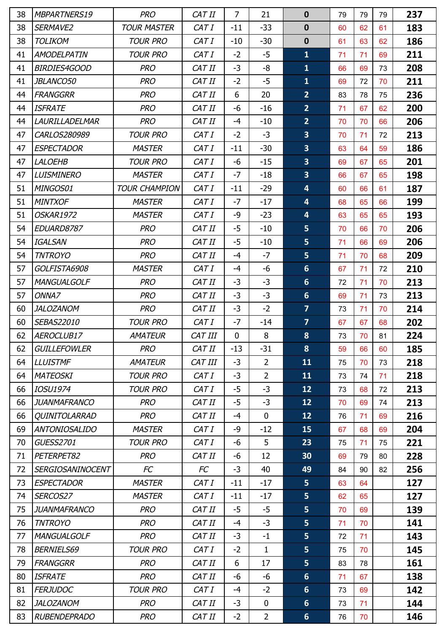| 38 | MBPARTNERS19            | <b>PRO</b>           | CAT II  | $\overline{7}$ | 21             | $\mathbf 0$             | 79 | 79 | 79 | 237 |
|----|-------------------------|----------------------|---------|----------------|----------------|-------------------------|----|----|----|-----|
| 38 | SERMAVE2                | <b>TOUR MASTER</b>   | CAT I   | $-11$          | $-33$          | $\mathbf 0$             | 60 | 62 | 61 | 183 |
| 38 | <b>TOLIKOM</b>          | <b>TOUR PRO</b>      | CAT I   | $-10$          | $-30$          | $\mathbf 0$             | 61 | 63 | 62 | 186 |
| 41 | <b>AMODELPATIN</b>      | <b>TOUR PRO</b>      | CAT I   | $-2$           | $-5$           | $\mathbf{1}$            | 71 | 71 | 69 | 211 |
| 41 | <b>BIRDIES4GOOD</b>     | <b>PRO</b>           | CAT II  | $-3$           | -8             | $\mathbf{1}$            | 66 | 69 | 73 | 208 |
| 41 | <i>JBLANCO50</i>        | <b>PRO</b>           | CAT II  | $-2$           | $-5$           | $\mathbf{1}$            | 69 | 72 | 70 | 211 |
| 44 | <b>FRANGGRR</b>         | <b>PRO</b>           | CAT II  | 6              | 20             | 2 <sup>2</sup>          | 83 | 78 | 75 | 236 |
| 44 | <b>ISFRATE</b>          | <b>PRO</b>           | CAT II  | -6             | $-16$          | $\overline{2}$          | 71 | 67 | 62 | 200 |
| 44 | <b>LAURILLADELMAR</b>   | <b>PRO</b>           | CAT II  | $-4$           | $-10$          | $\overline{2}$          | 70 | 70 | 66 | 206 |
| 47 | CARLOS280989            | <b>TOUR PRO</b>      | CAT I   | $-2$           | $-3$           | $\overline{\mathbf{3}}$ | 70 | 71 | 72 | 213 |
| 47 | <b>ESPECTADOR</b>       | <b>MASTER</b>        | CAT I   | $-11$          | $-30$          | $\overline{\mathbf{3}}$ | 63 | 64 | 59 | 186 |
| 47 | <b>LALOEHB</b>          | <b>TOUR PRO</b>      | CAT I   | -6             | $-15$          | 3 <sup>1</sup>          | 69 | 67 | 65 | 201 |
| 47 | <b>LUISMINERO</b>       | <b>MASTER</b>        | CAT I   | $-7$           | $-18$          | $\overline{\mathbf{3}}$ | 66 | 67 | 65 | 198 |
| 51 | MINGOS01                | <b>TOUR CHAMPION</b> | CAT I   | $-11$          | $-29$          | $\overline{\mathbf{4}}$ | 60 | 66 | 61 | 187 |
| 51 | <b>MINTXOF</b>          | <b>MASTER</b>        | CAT I   | $-7$           | $-17$          | $\overline{\mathbf{4}}$ | 68 | 65 | 66 | 199 |
| 51 | OSKAR1972               | <b>MASTER</b>        | CAT I   | -9             | $-23$          | $\overline{\mathbf{4}}$ | 63 | 65 | 65 | 193 |
| 54 | EDUARD8787              | <b>PRO</b>           | CAT II  | $-5$           | $-10$          | $5\phantom{a}$          | 70 | 66 | 70 | 206 |
| 54 | <b>IGALSAN</b>          | <b>PRO</b>           | CAT II  | $-5$           | $-10$          | $5\phantom{a}$          | 71 | 66 | 69 | 206 |
| 54 | <b>TNTROYO</b>          | <b>PRO</b>           | CAT II  | $-4$           | $-7$           | 5 <sub>5</sub>          | 71 | 70 | 68 | 209 |
| 57 | GOLFISTA6908            | <b>MASTER</b>        | CAT I   | $-4$           | $-6$           | $6\phantom{1}$          | 67 | 71 | 72 | 210 |
| 57 | <b>MANGUALGOLF</b>      | <b>PRO</b>           | CAT II  | $-3$           | $-3$           | $6\phantom{1}$          | 72 | 71 | 70 | 213 |
| 57 | ONNA7                   | <b>PRO</b>           | CAT II  | $-3$           | $-3$           | $6\phantom{1}$          | 69 | 71 | 73 | 213 |
| 60 | <b>JALOZANOM</b>        | <b>PRO</b>           | CAT II  | $-3$           | $-2$           | $\overline{7}$          | 73 | 71 | 70 | 214 |
| 60 | SEBAS22010              | <b>TOUR PRO</b>      | CAT I   | $-7$           | $-14$          | $\overline{7}$          | 67 | 67 | 68 | 202 |
| 62 | AEROCLUB17              | <b>AMATEUR</b>       | CAT III | $\mathbf 0$    | 8              | $\boldsymbol{8}$        | 73 | 70 | 81 | 224 |
| 62 | <b>GUILLEFOWLER</b>     | <b>PRO</b>           | CAT II  | $-13$          | $-31$          | 8                       | 59 | 66 | 60 | 185 |
| 64 | <b>LLUISTMF</b>         | <b>AMATEUR</b>       | CAT III | $-3$           | $\overline{2}$ | 11                      | 75 | 70 | 73 | 218 |
| 64 | <b>MATEOSKI</b>         | <b>TOUR PRO</b>      | CAT I   | $-3$           | $\overline{2}$ | 11                      | 73 | 74 | 71 | 218 |
| 66 | IOSU1974                | <b>TOUR PRO</b>      | CAT I   | -5             | $-3$           | 12                      | 73 | 68 | 72 | 213 |
| 66 | <b>JUANMAFRANCO</b>     | <b>PRO</b>           | CAT II  | -5             | $-3$           | 12                      | 70 | 69 | 74 | 213 |
| 66 | QUINITOLARRAD           | <b>PRO</b>           | CAT II  | $-4$           | $\mathbf{0}$   | 12                      | 76 | 71 | 69 | 216 |
| 69 | <b>ANTONIOSALIDO</b>    | <b>MASTER</b>        | CAT I   | -9             | $-12$          | 15                      | 67 | 68 | 69 | 204 |
| 70 | <b>GUESS2701</b>        | <b>TOUR PRO</b>      | CAT I   | -6             | 5              | 23                      | 75 | 71 | 75 | 221 |
| 71 | PETERPET82              | <b>PRO</b>           | CAT II  | -6             | 12             | 30                      | 69 | 79 | 80 | 228 |
| 72 | <b>SERGIOSANINOCENT</b> | FC                   | FC      | $-3$           | 40             | 49                      | 84 | 90 | 82 | 256 |
| 73 | <b>ESPECTADOR</b>       | <b>MASTER</b>        | CAT I   | $-11$          | $-17$          | 5 <sub>1</sub>          | 63 | 64 |    | 127 |
| 74 | SERCOS27                | <b>MASTER</b>        | CAT I   | $-11$          | $-17$          | 5 <sup>1</sup>          | 62 | 65 |    | 127 |
| 75 | JUANMAFRANCO            | <b>PRO</b>           | CAT II  | -5             | $-5$           | 5 <sup>1</sup>          | 70 | 69 |    | 139 |
| 76 | <b>TNTROYO</b>          | <b>PRO</b>           | CAT II  | $-4$           | $-3$           | 5 <sub>5</sub>          | 71 | 70 |    | 141 |
| 77 | <b>MANGUALGOLF</b>      | <b>PRO</b>           | CAT II  | $-3$           | $-1$           | 5 <sup>1</sup>          | 72 | 71 |    | 143 |
| 78 | <b>BERNIELS69</b>       | <b>TOUR PRO</b>      | CAT I   | $-2$           | $\mathbf{1}$   | 5 <sub>5</sub>          | 75 | 70 |    | 145 |
| 79 | <b>FRANGGRR</b>         | <b>PRO</b>           | CAT II  | 6              | 17             | 5 <sub>5</sub>          | 83 | 78 |    | 161 |
| 80 | <b>ISFRATE</b>          | <b>PRO</b>           | CAT II  | -6             | $-6$           | $6 \overline{6}$        | 71 | 67 |    | 138 |
| 81 | <b>FERJUDOC</b>         | <b>TOUR PRO</b>      | CAT I   | $-4$           | $-2$           | $6\phantom{1}$          | 73 | 69 |    | 142 |
| 82 | <b>JALOZANOM</b>        | <b>PRO</b>           | CAT II  | $-3$           | $\mathbf 0$    | $6\phantom{1}$          | 73 | 71 |    | 144 |
| 83 | <b>RUBENDEPRADO</b>     | <b>PRO</b>           | CAT II  | $-2$           | $\overline{2}$ | 6 <sup>1</sup>          | 76 | 70 |    | 146 |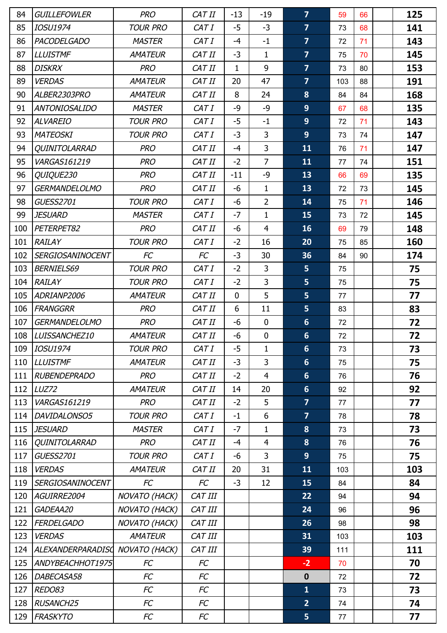| 84  | <b>GUILLEFOWLER</b>      | <b>PRO</b>      | CAT II    | $-13$        | $-19$          | $\overline{7}$  | 59  | 66 | 125 |
|-----|--------------------------|-----------------|-----------|--------------|----------------|-----------------|-----|----|-----|
| 85  | <b>IOSU1974</b>          | <b>TOUR PRO</b> | CAT I     | $-5$         | $-3$           | $\overline{7}$  | 73  | 68 | 141 |
| 86  | <b>PACODELGADO</b>       | <b>MASTER</b>   | CAT I     | $-4$         | $-1$           | $\overline{7}$  | 72  | 71 | 143 |
| 87  | <b>LLUISTMF</b>          | <b>AMATEUR</b>  | CAT II    | $-3$         | $\mathbf{1}$   | $\overline{7}$  | 75  | 70 | 145 |
| 88  | <b>DISKRX</b>            | <b>PRO</b>      | CAT II    | 1            | 9              | $\overline{7}$  | 73  | 80 | 153 |
| 89  | <b>VERDAS</b>            | <b>AMATEUR</b>  | CAT II    | 20           | 47             | $\overline{7}$  | 103 | 88 | 191 |
| 90  | ALBER2303PRO             | <b>AMATEUR</b>  | CAT II    | 8            | 24             | 8               | 84  | 84 | 168 |
| 91  | <b>ANTONIOSALIDO</b>     | <b>MASTER</b>   | CAT I     | $-9$         | $-9$           | 9 <sup>°</sup>  | 67  | 68 | 135 |
| 92  | <b>ALVAREIO</b>          | <b>TOUR PRO</b> | CAT I     | -5           | $-1$           | 9               | 72  | 71 | 143 |
| 93  | <b>MATEOSKI</b>          | <b>TOUR PRO</b> | CAT I     | $-3$         | $\mathsf{3}$   | 9 <sup>°</sup>  | 73  | 74 | 147 |
| 94  | QUINITOLARRAD            | <b>PRO</b>      | CAT II    | $-4$         | $\overline{3}$ | 11              | 76  | 71 | 147 |
| 95  | VARGAS161219             | <b>PRO</b>      | CAT II    | $-2$         | $\overline{7}$ | 11              | 77  | 74 | 151 |
| 96  | QUIQUE230                | <b>PRO</b>      | CAT II    | $-11$        | $-9$           | 13              | 66  | 69 | 135 |
| 97  | <b>GERMANDELOLMO</b>     | <b>PRO</b>      | CAT II    | -6           | $\mathbf{1}$   | 13              | 72  | 73 | 145 |
| 98  | <b>GUESS2701</b>         | <b>TOUR PRO</b> | CAT I     | -6           | $\overline{2}$ | 14              | 75  | 71 | 146 |
| 99  | <b>JESUARD</b>           | <b>MASTER</b>   | CAT I     | $-7$         | $\mathbf{1}$   | 15              | 73  | 72 | 145 |
| 100 | PETERPET82               | <b>PRO</b>      | CAT II    | -6           | $\overline{4}$ | 16              | 69  | 79 | 148 |
| 101 | <b>RAILAY</b>            | <b>TOUR PRO</b> | CAT I     | $-2$         | 16             | 20              | 75  | 85 | 160 |
| 102 | <b>SERGIOSANINOCENT</b>  | FC              | <b>FC</b> | $-3$         | 30             | 36              | 84  | 90 | 174 |
| 103 | <b>BERNIELS69</b>        | <b>TOUR PRO</b> | CAT I     | $-2$         | $\overline{3}$ | 5               | 75  |    | 75  |
| 104 | <b>RAILAY</b>            | <b>TOUR PRO</b> | CAT I     | $-2$         | $\overline{3}$ | 5               | 75  |    | 75  |
| 105 | ADRIANP2006              | <b>AMATEUR</b>  | CAT II    | $\mathbf{0}$ | 5              | 5               | 77  |    | 77  |
| 106 | <b>FRANGGRR</b>          | <b>PRO</b>      | CAT II    | 6            | 11             | 5 <sub>5</sub>  | 83  |    | 83  |
| 107 | <b>GERMANDELOLMO</b>     | <b>PRO</b>      | CAT II    | -6           | $\mathbf 0$    | 6 <sup>1</sup>  | 72  |    | 72  |
| 108 | LUISSANCHEZ10            | <b>AMATEUR</b>  | CAT II    | -6           | $\pmb{0}$      | $6\phantom{1}$  | 72  |    | 72  |
| 109 | <b>IOSU1974</b>          | <b>TOUR PRO</b> | CAT I     | $-5$         | $\mathbf{1}$   | $6\phantom{1}6$ | 73  |    | 73  |
| 110 | <b>LLUISTMF</b>          | <b>AMATEUR</b>  | CAT II    | $-3$         | 3              | $6\phantom{1}$  | 75  |    | 75  |
| 111 | <b>RUBENDEPRADO</b>      | <b>PRO</b>      | CAT II    | $-2$         | $\overline{4}$ | $6\phantom{1}$  | 76  |    | 76  |
| 112 | LUZ72                    | <b>AMATEUR</b>  | CAT II    | 14           | 20             | $6\phantom{1}$  | 92  |    | 92  |
| 113 | VARGAS161219             | <b>PRO</b>      | CAT II    | $-2$         | 5              | $\overline{7}$  | 77  |    | 77  |
| 114 | DAVIDALONSO5             | <b>TOUR PRO</b> | CAT I     | $-1$         | 6              | $\overline{7}$  | 78  |    | 78  |
| 115 | <b>JESUARD</b>           | <b>MASTER</b>   | CAT I     | $-7$         | $\mathbf{1}$   | 8               | 73  |    | 73  |
| 116 | <b>QUINITOLARRAD</b>     | <b>PRO</b>      | CAT II    | $-4$         | $\overline{4}$ | 8               | 76  |    | 76  |
| 117 | <b>GUESS2701</b>         | <b>TOUR PRO</b> | CAT I     | -6           | $\overline{3}$ | 9 <sup>°</sup>  | 75  |    | 75  |
| 118 | <b>VERDAS</b>            | <b>AMATEUR</b>  | CAT II    | 20           | 31             | 11              | 103 |    | 103 |
| 119 | <b>SERGIOSANINOCENT</b>  | FC              | FC        | $-3$         | 12             | 15              | 84  |    | 84  |
| 120 | AGUIRRE2004              | NOVATO (HACK)   | CAT III   |              |                | 22              | 94  |    | 94  |
| 121 | GADEAA20                 | NOVATO (HACK)   | CAT III   |              |                | 24              | 96  |    | 96  |
| 122 | <b>FERDELGADO</b>        | NOVATO (HACK)   | CAT III   |              |                | 26              | 98  |    | 98  |
| 123 | <b>VERDAS</b>            | <b>AMATEUR</b>  | CAT III   |              |                | 31              | 103 |    | 103 |
| 124 | <b>ALEXANDERPARADISC</b> | NOVATO (HACK)   | CAT III   |              |                | 39              | 111 |    | 111 |
| 125 | ANDYBEACHHOT1975         | FC              | FC        |              |                | $-2$            | 70  |    | 70  |
| 126 | DABECASA58               | FC              | FC        |              |                | $\mathbf 0$     | 72  |    | 72  |
| 127 | REDO83                   | FC              | FC        |              |                | $\mathbf{1}$    | 73  |    | 73  |
| 128 | <b>RUSANCH25</b>         | FC              | FC        |              |                | $\overline{2}$  | 74  |    | 74  |
| 129 | <b>FRASKYTO</b>          | FC              | FC        |              |                | 5 <sup>1</sup>  | 77  |    | 77  |